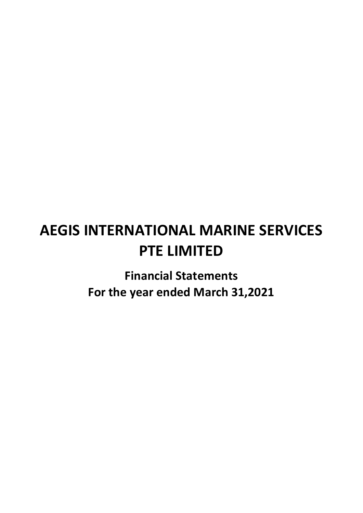# AEGIS INTERNATIONAL MARINE SERVICES PTE LIMITED

Financial Statements For the year ended March 31,2021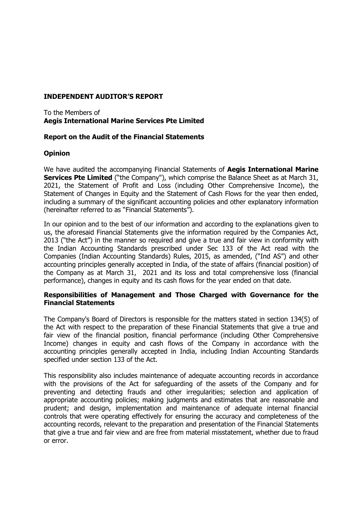# **INDEPENDENT AUDITOR'S REPORT**

# To the Members of **Aegis International Marine Services Pte Limited**

# **Report on the Audit of the Financial Statements**

# **Opinion**

We have audited the accompanying Financial Statements of **Aegis International Marine Services Pte Limited** ("the Company"), which comprise the Balance Sheet as at March 31, 2021, the Statement of Profit and Loss (including Other Comprehensive Income), the Statement of Changes in Equity and the Statement of Cash Flows for the year then ended, including a summary of the significant accounting policies and other explanatory information (hereinafter referred to as "Financial Statements").

In our opinion and to the best of our information and according to the explanations given to us, the aforesaid Financial Statements give the information required by the Companies Act, 2013 ("the Act") in the manner so required and give a true and fair view in conformity with the Indian Accounting Standards prescribed under Sec 133 of the Act read with the Companies (Indian Accounting Standards) Rules, 2015, as amended, ("Ind AS") and other accounting principles generally accepted in India, of the state of affairs (financial position) of the Company as at March 31, 2021 and its loss and total comprehensive loss (financial performance), changes in equity and its cash flows for the year ended on that date.

# **Responsibilities of Management and Those Charged with Governance for the Financial Statements**

The Company's Board of Directors is responsible for the matters stated in section 134(5) of the Act with respect to the preparation of these Financial Statements that give a true and fair view of the financial position, financial performance (including Other Comprehensive Income) changes in equity and cash flows of the Company in accordance with the accounting principles generally accepted in India, including Indian Accounting Standards specified under section 133 of the Act.

This responsibility also includes maintenance of adequate accounting records in accordance with the provisions of the Act for safeguarding of the assets of the Company and for preventing and detecting frauds and other irregularities; selection and application of appropriate accounting policies; making judgments and estimates that are reasonable and prudent; and design, implementation and maintenance of adequate internal financial controls that were operating effectively for ensuring the accuracy and completeness of the accounting records, relevant to the preparation and presentation of the Financial Statements that give a true and fair view and are free from material misstatement, whether due to fraud or error.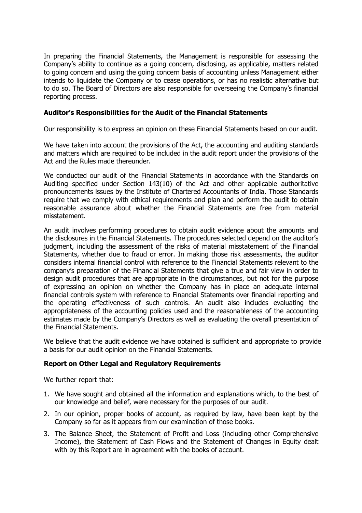In preparing the Financial Statements, the Management is responsible for assessing the Company's ability to continue as a going concern, disclosing, as applicable, matters related to going concern and using the going concern basis of accounting unless Management either intends to liquidate the Company or to cease operations, or has no realistic alternative but to do so. The Board of Directors are also responsible for overseeing the Company's financial reporting process.

# **Auditor's Responsibilities for the Audit of the Financial Statements**

Our responsibility is to express an opinion on these Financial Statements based on our audit.

We have taken into account the provisions of the Act, the accounting and auditing standards and matters which are required to be included in the audit report under the provisions of the Act and the Rules made thereunder.

We conducted our audit of the Financial Statements in accordance with the Standards on Auditing specified under Section 143(10) of the Act and other applicable authoritative pronouncements issues by the Institute of Chartered Accountants of India. Those Standards require that we comply with ethical requirements and plan and perform the audit to obtain reasonable assurance about whether the Financial Statements are free from material misstatement.

An audit involves performing procedures to obtain audit evidence about the amounts and the disclosures in the Financial Statements. The procedures selected depend on the auditor's judgment, including the assessment of the risks of material misstatement of the Financial Statements, whether due to fraud or error. In making those risk assessments, the auditor considers internal financial control with reference to the Financial Statements relevant to the company's preparation of the Financial Statements that give a true and fair view in order to design audit procedures that are appropriate in the circumstances, but not for the purpose of expressing an opinion on whether the Company has in place an adequate internal financial controls system with reference to Financial Statements over financial reporting and the operating effectiveness of such controls. An audit also includes evaluating the appropriateness of the accounting policies used and the reasonableness of the accounting estimates made by the Company's Directors as well as evaluating the overall presentation of the Financial Statements.

We believe that the audit evidence we have obtained is sufficient and appropriate to provide a basis for our audit opinion on the Financial Statements.

# **Report on Other Legal and Regulatory Requirements**

We further report that:

- 1. We have sought and obtained all the information and explanations which, to the best of our knowledge and belief, were necessary for the purposes of our audit.
- 2. In our opinion, proper books of account, as required by law, have been kept by the Company so far as it appears from our examination of those books.
- 3. The Balance Sheet, the Statement of Profit and Loss (including other Comprehensive Income), the Statement of Cash Flows and the Statement of Changes in Equity dealt with by this Report are in agreement with the books of account.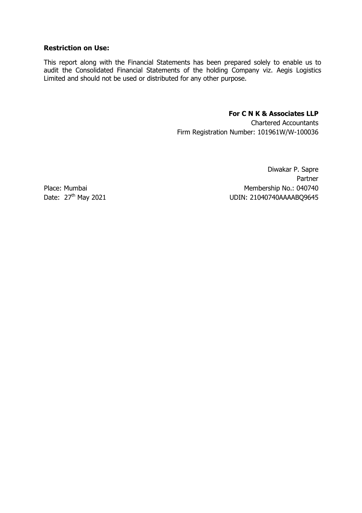# **Restriction on Use:**

This report along with the Financial Statements has been prepared solely to enable us to audit the Consolidated Financial Statements of the holding Company viz. Aegis Logistics Limited and should not be used or distributed for any other purpose.

# **For C N K & Associates LLP**

Chartered Accountants Firm Registration Number: 101961W/W-100036

Diwakar P. Sapre Partner Place: Mumbai Membership No.: 040740<br>Date: 27<sup>th</sup> May 2021 Membership No.: 040740 UDIN: 21040740AAAABQ9645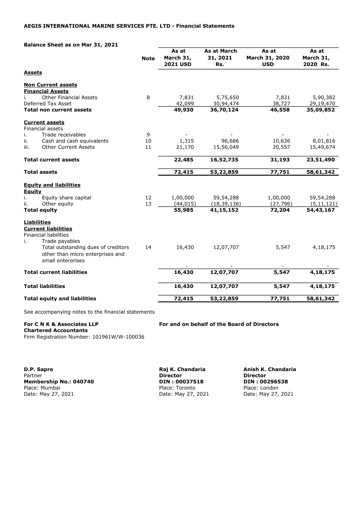Balance Sheet as on Mar 31, 2021

|                                                            | <b>Note</b> | As at<br>March 31,<br><b>2021 USD</b> | As at March<br>31, 2021<br>Rs. | As at<br>March 31, 2020<br><b>USD</b> | As at<br>March 31,<br>2020 Rs. |
|------------------------------------------------------------|-------------|---------------------------------------|--------------------------------|---------------------------------------|--------------------------------|
| <b>Assets</b>                                              |             |                                       |                                |                                       |                                |
| <b>Non Current assets</b>                                  |             |                                       |                                |                                       |                                |
| <b>Financial Assets</b>                                    |             |                                       |                                |                                       |                                |
| <b>Other Financial Assets</b><br>İ.                        | 8           | 7,831                                 | 5,75,650                       | 7,831                                 | 5,90,382                       |
| Deferred Tax Asset                                         |             | 42,099                                | 30,94,474                      | 38,727                                | 29,19,470                      |
| <b>Total non current assets</b>                            |             | 49,930                                | 36,70,124                      | 46,558                                | 35,09,852                      |
| <b>Current assets</b>                                      |             |                                       |                                |                                       |                                |
| <b>Financial assets</b><br>Trade receivables<br>i.         | 9           |                                       |                                |                                       |                                |
| Cash and cash equivalents<br>ii.                           | 10          | 1,315                                 | 96,686                         | 10,636                                | 8,01,816                       |
| <b>Other Current Assets</b><br>iii.                        | 11          | 21,170                                | 15,56,049                      | 20,557                                | 15,49,674                      |
| <b>Total current assets</b>                                |             | 22,485                                | 16,52,735                      | 31,193                                | 23,51,490                      |
| <b>Total assets</b>                                        |             | 72,415                                | 53,22,859                      | 77,751                                | 58,61,342                      |
| <b>Equity and liabilities</b>                              |             |                                       |                                |                                       |                                |
| Equity                                                     |             |                                       |                                |                                       |                                |
| i.<br>Equity share capital                                 | 12          | 1,00,000                              | 59,54,288                      | 1,00,000                              | 59,54,288                      |
| Other equity<br>ii.                                        | 13          | (44, 015)                             | (18, 39, 136)                  | (27, 796)                             | (5, 11, 121)                   |
| <b>Total equity</b>                                        |             | 55,985                                | 41, 15, 152                    | 72,204                                | 54,43,167                      |
| <b>Liabilities</b>                                         |             |                                       |                                |                                       |                                |
| <b>Current liabilities</b><br><b>Financial liabilities</b> |             |                                       |                                |                                       |                                |
| Trade payables<br>i.                                       |             |                                       |                                |                                       |                                |
| Total outstanding dues of creditors                        | 14          | 16,430                                | 12,07,707                      | 5,547                                 | 4,18,175                       |
| other than micro enterprises and                           |             |                                       |                                |                                       |                                |
| small enterprises                                          |             |                                       |                                |                                       |                                |
|                                                            |             |                                       |                                |                                       |                                |
| <b>Total current liabilities</b>                           |             | 16,430                                | 12,07,707                      | 5,547                                 | 4,18,175                       |
| <b>Total liabilities</b>                                   |             | 16,430                                | 12,07,707                      | 5,547                                 | 4,18,175                       |
|                                                            |             |                                       |                                |                                       |                                |

See accompanying notes to the financial statements

For C N K & Associates LLP For and on behalf of the Board of Directors

Chartered Accountants Firm Registration Number: 101961W/W-100036

D.P. Sapre **Raj K. Chandaria** Anish K. Chandaria Partner **Director Director Director Director Director** Membership No.: 040740 DIN : 00037518 DIN : 00296538 Place: Mumbai Place: Toronto Place: Toronto Place: Place: London<br>
Date: May 27, 2021 Cate: May 27, 2021 Date: May 27, 2021

Date: May 27, 2021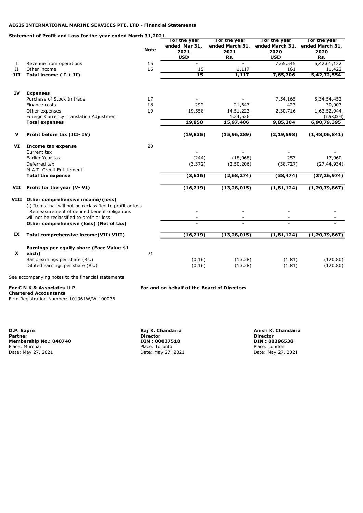#### Statement of Profit and Loss for the year ended March 31,2021

|             |                                                                                                                                                         |             | For the year     | For the year       | For the year                                    | For the year         |
|-------------|---------------------------------------------------------------------------------------------------------------------------------------------------------|-------------|------------------|--------------------|-------------------------------------------------|----------------------|
|             |                                                                                                                                                         | <b>Note</b> | ended Mar 31,    |                    | ended March 31, ended March 31, ended March 31, |                      |
|             |                                                                                                                                                         |             | 2021             | 2021               | 2020                                            | 2020                 |
|             |                                                                                                                                                         |             | <b>USD</b>       | Rs.                | <b>USD</b>                                      | Rs.                  |
| Ι.          | Revenue from operations                                                                                                                                 | 15          |                  |                    | 7,65,545                                        | 5,42,61,132          |
| $_{\rm II}$ | Other income                                                                                                                                            | 16          | 15               | 1,117              | 161                                             | 11,422               |
| ш           | Total income $(I + II)$                                                                                                                                 |             | $\overline{15}$  | 1,117              | 7,65,706                                        | 5,42,72,554          |
| IV          | <b>Expenses</b>                                                                                                                                         |             |                  |                    |                                                 |                      |
|             | Purchase of Stock In trade                                                                                                                              | 17          |                  |                    | 7,54,165                                        | 5, 34, 54, 452       |
|             | Finance costs                                                                                                                                           | 18          | 292              | 21,647             | 423                                             | 30,003               |
|             | Other expenses                                                                                                                                          | 19          | 19,558           | 14,51,223          | 2,30,716                                        | 1,63,52,944          |
|             | Foreign Currency Translation Adjustment                                                                                                                 |             |                  | 1,24,536           |                                                 | (7,58,004)           |
|             | <b>Total expenses</b>                                                                                                                                   |             | 19,850           | 15,97,406          | 9,85,304                                        | 6,90,79,395          |
| v           | Profit before tax (III-IV)                                                                                                                              |             | (19, 835)        | (15, 96, 289)      | (2, 19, 598)                                    | (1, 48, 06, 841)     |
| VI          | Income tax expense<br>Current tax                                                                                                                       | 20          |                  |                    |                                                 |                      |
|             | Earlier Year tax                                                                                                                                        |             | (244)            | (18,068)           | 253                                             | 17,960               |
|             | Deferred tax                                                                                                                                            |             | (3, 372)         | (2, 50, 206)       | (38, 727)                                       | (27, 44, 934)        |
|             | M.A.T. Credit Entitlement                                                                                                                               |             |                  |                    | ۰                                               |                      |
|             | <b>Total tax expense</b>                                                                                                                                |             | (3,616)          | (2,68,274)         | (38, 474)                                       | (27, 26, 974)        |
| VII         | Profit for the year (V-VI)                                                                                                                              |             | (16, 219)        | (13, 28, 015)      | (1,81,124)                                      | (1, 20, 79, 867)     |
|             | VIII Other comprehensive income/(loss)                                                                                                                  |             |                  |                    |                                                 |                      |
|             | (i) Items that will not be reclassified to profit or loss<br>Remeasurement of defined benefit obligations<br>will not be reclassified to profit or loss |             |                  |                    |                                                 |                      |
|             | Other comprehensive (loss) (Net of tax)                                                                                                                 |             |                  |                    |                                                 |                      |
| IX          | Total comprehensive income(VII+VIII)                                                                                                                    |             | (16, 219)        | (13, 28, 015)      | (1,81,124)                                      | (1, 20, 79, 867)     |
| X           | Earnings per equity share (Face Value \$1<br>each)<br>Basic earnings per share (Rs.)<br>Diluted earnings per share (Rs.)                                | 21          | (0.16)<br>(0.16) | (13.28)<br>(13.28) | (1.81)<br>(1.81)                                | (120.80)<br>(120.80) |
|             | See accompanying notes to the financial statements                                                                                                      |             |                  |                    |                                                 |                      |

Chartered Accountants

Firm Registration Number: 101961W/W-100036

For C N K & Associates LLP For and on behalf of the Board of Directors

D.P. Sapre Raj K. Chandaria Anish K. Chandaria **Membership No.: 040740 DIN : 00037518 DIN : 00037518 DIN : 00296538**<br>
Place: Mumbai Place: Dondon<br>
Date: May 27, 2021 **Date: May 27, 2021** Date: May 27, 2021 Date: May 27, 2021 Place: Mumbai Place: Toronto Place: London Date: May 27, 2021 Date: May 27, 2021 Date: May 27, 2021

Partner Director Director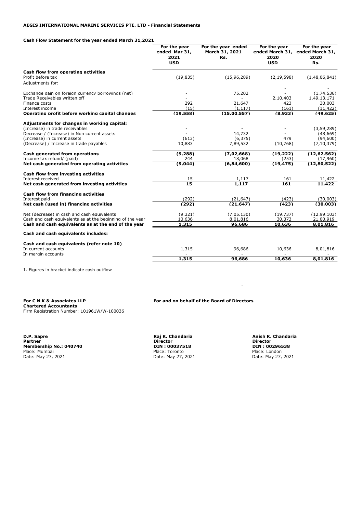### Cash Flow Statement for the year ended March 31,2021

|                                                                                                                                                                                                          | For the year<br>ended Mar 31,<br>2021<br><b>USD</b> | For the year ended<br>March 31, 2021<br>Rs. | For the year<br>2020<br><b>USD</b>  | For the year<br>ended March 31, ended March 31,<br>2020<br>Rs. |
|----------------------------------------------------------------------------------------------------------------------------------------------------------------------------------------------------------|-----------------------------------------------------|---------------------------------------------|-------------------------------------|----------------------------------------------------------------|
| Cash flow from operating activities<br>Profit before tax<br>Adjustments for:                                                                                                                             | (19, 835)                                           | (15, 96, 289)                               | (2, 19, 598)                        | (1,48,06,841)                                                  |
| Exchange gain on foreign currency borrowings (net)<br>Trade Receivables written off<br>Finance costs<br>Interest income<br>Operating profit before working capital changes                               | 292<br>(15)<br>(19, 558)                            | 75,202<br>21,647<br>(1, 117)<br>(15,00,557) | 2,10,403<br>423<br>(161)<br>(8,933) | (1,74,536)<br>1,49,13,171<br>30,003<br>(11, 422)<br>(49, 625)  |
| Adjustments for changes in working capital:<br>(Increase) in trade receivables<br>Decrease / (Increase) in Non current assets<br>(Increase) in current assets<br>(Decrease) / Increase in trade payables | (613)<br>10,883                                     | 14,732<br>(6, 375)<br>7,89,532              | 479<br>(10, 768)                    | (3, 59, 289)<br>(48, 669)<br>(94,600)<br>(7, 10, 379)          |
| Cash generated from operations<br>Income tax refund/ (paid)<br>Net cash generated from operating activities                                                                                              | (9, 288)<br>244<br>(9,044)                          | (7,02,668)<br>18,068<br>(6,84,600)          | (19, 222)<br>(253)<br>(19, 475)     | (12, 62, 562)<br>(17,960)<br>(12,80,522)                       |
| Cash flow from investing activities<br>Interest received<br>Net cash generated from investing activities                                                                                                 | 15<br>15                                            | 1,117<br>1,117                              | 161<br>161                          | 11,422<br>11,422                                               |
| Cash flow from financing activities<br>Interest paid<br>Net cash (used in) financing activities                                                                                                          | (292)<br>(292)                                      | (21.647)<br>(21, 647)                       | (423)<br>(423)                      | (30.003)<br>(30,003)                                           |
| Net (decrease) in cash and cash equivalents<br>Cash and cash equivalents as at the beginning of the year<br>Cash and cash equivalents as at the end of the year                                          | (9, 321)<br>10,636<br>1,315                         | (7,05,130)<br>8,01,816<br>96,686            | (19, 737)<br>30,373<br>10,636       | (12, 99, 103)<br>21,00,919<br>8,01,816                         |
| Cash and cash equivalents includes:                                                                                                                                                                      |                                                     |                                             |                                     |                                                                |
| Cash and cash equivalents (refer note 10)<br>In current accounts<br>In margin accounts                                                                                                                   | 1,315                                               | 96,686                                      | 10,636                              | 8,01,816                                                       |
|                                                                                                                                                                                                          | 1,315                                               | 96,686                                      | 10,636                              | 8,01,816                                                       |

1. Figures in bracket indicate cash outflow

Chartered Accountants Firm Registration Number: 101961W/W-100036

D.P. Sapre Raj K. Chandaria Anish K. Chandaria Partner Director Director **Membership No.: 040740 DIN : 00037518 DIN : 00296538**<br>
Place: Mumbai Place: May 27, 2021 Place: London<br>
Date: May 27, 2021 Date: May 27, 2021 Date: May 27, 2021 Place: Mumbai Place: Toronto Place: London Date: May 27, 2021 Date: May 27, 2021 Date: May 27, 2021

For C N K & Associates LLP For and on behalf of the Board of Directors

**- All and All and All and All and All**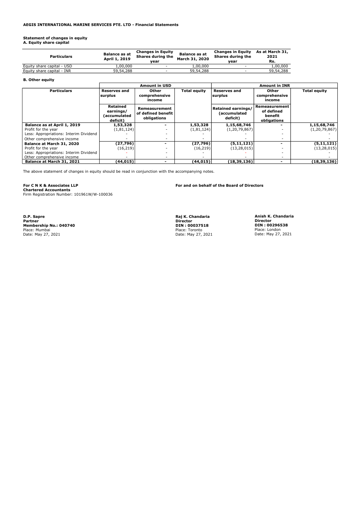Statement of changes in equity A. Equity share capital

| <b>Particulars</b>         | <b>Balance as at</b><br>April 1, 2019 | <b>Changes in Equity</b><br>Shares during the<br>vear | <b>Balance as at</b><br>March 31, 2020 | <b>Changes in Equity</b><br>Shares during the<br>vear | As at March 31,<br>2021<br>Rs. |
|----------------------------|---------------------------------------|-------------------------------------------------------|----------------------------------------|-------------------------------------------------------|--------------------------------|
| Equity share capital - USD | 1.00.000                              | $\overline{\phantom{a}}$                              | 1,00,000                               | $\sim$                                                | 1,00,000                       |
| Equity share capital - INR | 59,54,288                             | $\overline{\phantom{a}}$                              | 59,54,288                              | -                                                     | 59,54,288                      |

#### B. Other equity

|                                        | <b>Amount in USD</b>                              |                                                    |                     | <b>Amount in INR</b>                           |                                                       |                     |  |
|----------------------------------------|---------------------------------------------------|----------------------------------------------------|---------------------|------------------------------------------------|-------------------------------------------------------|---------------------|--|
| <b>Particulars</b>                     | Reserves and<br>surplus                           | Other<br>comprehensive<br>income                   | <b>Total equity</b> | <b>Reserves and</b><br>surplus                 | Other<br>comprehensive<br>income                      | <b>Total equity</b> |  |
|                                        | Retained<br>earnings/<br>(accumulated<br>deficit) | Remeasurement<br>of defined benefit<br>obligations |                     | Retained earnings/<br>(accumulated<br>deficit) | Remeasurement<br>of defined<br>benefit<br>obligations |                     |  |
| Balance as at April 1, 2019            | 1,53,328                                          |                                                    | 1,53,328            | 1,15,68,746                                    |                                                       | 1,15,68,746         |  |
| Profit for the year                    | (1,81,124)                                        | -                                                  | (1,81,124)          | (1, 20, 79, 867)                               |                                                       | (1, 20, 79, 867)    |  |
| Less: Appropriations: Interim Dividend |                                                   |                                                    |                     |                                                |                                                       |                     |  |
| Other comprehensive income             |                                                   | ٠                                                  |                     |                                                |                                                       |                     |  |
| Balance at March 31, 2020              | (27,796)                                          |                                                    | (27, 796)           | (5,11,121)                                     | $\overline{\phantom{0}}$                              | (5,11,121)          |  |
| Profit for the year                    | (16, 219)                                         |                                                    | (16, 219)           | (13, 28, 015)                                  |                                                       | (13, 28, 015)       |  |
| Less: Appropriations: Interim Dividend |                                                   | -                                                  |                     |                                                |                                                       |                     |  |
| Other comprehensive income             |                                                   | $\overline{\phantom{a}}$                           |                     |                                                |                                                       |                     |  |
| Balance at March 31, 2021              | (44, 015)                                         | -                                                  | (44, 015)           | (18, 39, 136)                                  | $\overline{\phantom{0}}$                              | (18,39,136)         |  |

The above statement of changes in equity should be read in conjunction with the accompanying notes.

For C N K & Associates LLP<br>Chartered Accountants

Firm Registration Number: 101961W/W-100036

D.P. Sapre Raj K. Chandaria Anish K. Chandaria **Membership No.: 040740**<br> **Membership No.: 040740**<br>
Place: Mumbai<br>
Date: May 27, 2021<br>
Date: May 27, 2021<br>
Date: May 27, 2021<br>
Date: May 27, 2021<br>
Date: May 27, 2021 Place: Mumbai Place: Toronto Place: London Date: May 27, 2021 Date: May 27, 2021 Date: May 27, 2021

Raj K. Chandaria<br>Director<br>DIN : 00037518

For and on behalf of the Board of Directors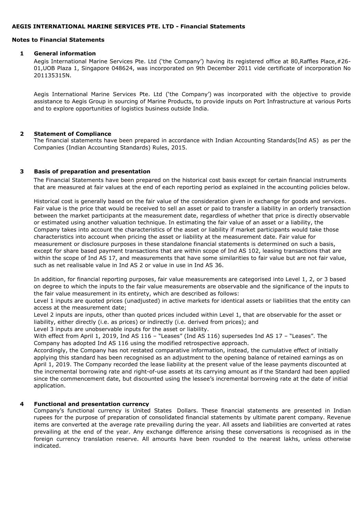#### Notes to Financial Statements

### 1 General information

Aegis International Marine Services Pte. Ltd ('the Company') having its registered office at 80,Raffles Place,#26- 01,UOB Plaza 1, Singapore 048624, was incorporated on 9th December 2011 vide certificate of incorporation No 201135315N.

Aegis International Marine Services Pte. Ltd ('the Company') was incorporated with the objective to provide assistance to Aegis Group in sourcing of Marine Products, to provide inputs on Port Infrastructure at various Ports and to explore opportunities of logistics business outside India.

### 2 Statement of Compliance

The financial statements have been prepared in accordance with Indian Accounting Standards(Ind AS) as per the Companies (Indian Accounting Standards) Rules, 2015.

# 3 Basis of preparation and presentation

The Financial Statements have been prepared on the historical cost basis except for certain financial instruments that are measured at fair values at the end of each reporting period as explained in the accounting policies below.

Historical cost is generally based on the fair value of the consideration given in exchange for goods and services. Fair value is the price that would be received to sell an asset or paid to transfer a liability in an orderly transaction between the market participants at the measurement date, regardless of whether that price is directly observable or estimated using another valuation technique. In estimating the fair value of an asset or a liability, the Company takes into account the characteristics of the asset or liability if market participants would take those characteristics into account when pricing the asset or liability at the measurement date. Fair value for measurement or disclosure purposes in these standalone financial statements is determined on such a basis, except for share based payment transactions that are within scope of Ind AS 102, leasing transactions that are within the scope of Ind AS 17, and measurements that have some similarities to fair value but are not fair value, such as net realisable value in Ind AS 2 or value in use in Ind AS 36.

In addition, for financial reporting purposes, fair value measurements are categorised into Level 1, 2, or 3 based on degree to which the inputs to the fair value measurements are observable and the significance of the inputs to the fair value measurement in its entirety, which are described as follows:

Level 1 inputs are quoted prices (unadjusted) in active markets for identical assets or liabilities that the entity can access at the measurement date;

Level 2 inputs are inputs, other than quoted prices included within Level 1, that are observable for the asset or liability, either directly (i.e. as prices) or indirectly (i.e. derived from prices); and

Level 3 inputs are unobservable inputs for the asset or liability.

With effect from April 1, 2019, Ind AS 116 - "Leases" (Ind AS 116) supersedes Ind AS 17 - "Leases". The Company has adopted Ind AS 116 using the modified retrospective approach.

Accordingly, the Company has not restated comparative information, instead, the cumulative effect of initially applying this standard has been recognised as an adjustment to the opening balance of retained earnings as on April 1, 2019. The Company recorded the lease liability at the present value of the lease payments discounted at the incremental borrowing rate and right-of-use assets at its carrying amount as if the Standard had been applied since the commencement date, but discounted using the lessee's incremental borrowing rate at the date of initial application.

### 4 Functional and presentation currency

Company's functional currency is United States Dollars. These financial statements are presented in Indian rupees for the purpose of preparation of consolidated financial statements by ultimate parent company. Revenue items are converted at the average rate prevailing during the year. All assets and liabilities are converted at rates prevailing at the end of the year. Any exchange difference arising these conversations is recognised as in the foreign currency translation reserve. All amounts have been rounded to the nearest lakhs, unless otherwise indicated.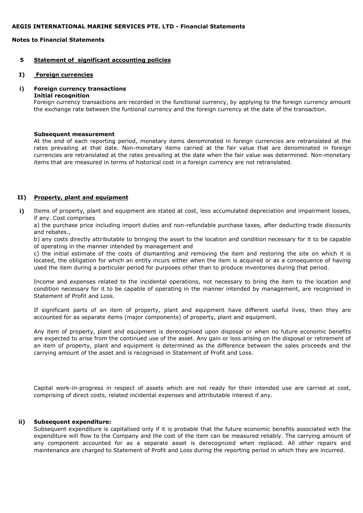# Notes to Financial Statements

### 5 Statement of significant accounting policies

#### I) Foreign currencies

#### i) Foreign currency transactions

#### Initial recognition

Foreign currency transactions are recorded in the functional currency, by applying to the foreign currency amount the exchange rate between the funtional currency and the foreign currency at the date of the transaction.

#### Subsequent measurement

At the end of each reporting period, monetary items denominated in foreign currencies are retranslated at the rates prevailing at that date. Non-monetary items carried at the fair value that are denominated in foreign currencies are retranslated at the rates prevailing at the date when the fair value was determined. Non-monetary items that are measured in terms of historical cost in a foreign currency are not retranslated.

### II) Property, plant and equipment

i) Items of property, plant and equipment are stated at cost, less accumulated depreciation and impairment losses, if any. Cost comprises

a) the purchase price including import duties and non-refundable purchase taxes, after deducting trade discounts and rebates.,

b) any costs directly attributable to bringing the asset to the location and condition necessary for it to be capable of operating in the manner intended by management and

c) the initial estimate of the costs of dismantling and removing the item and restoring the site on which it is located, the obligation for which an entity incurs either when the item is acquired or as a consequence of having used the item during a particular period for purposes other than to produce inventories during that period.

Income and expenses related to the incidental operations, not necessary to bring the item to the location and condition necessary for it to be capable of operating in the manner intended by management, are recognised in Statement of Profit and Loss.

If significant parts of an item of property, plant and equipment have different useful lives, then they are accounted for as separate items (major components) of property, plant and equipment.

Any item of property, plant and equipment is derecognised upon disposal or when no future economic benefits are expected to arise from the continued use of the asset. Any gain or loss arising on the disposal or retirement of an item of property, plant and equipment is determined as the difference between the sales proceeds and the carrying amount of the asset and is recognised in Statement of Profit and Loss.

Capital work-in-progress in respect of assets which are not ready for their intended use are carried at cost, comprising of direct costs, related incidental expenses and attributable interest if any.

#### ii) Subsequent expenditure:

Subsequent expenditure is capitalised only if it is probable that the future economic benefits associated with the expenditure will flow to the Company and the cost of the item can be measured reliably. The carrying amount of any component accounted for as a separate asset is derecognized when replaced. All other repairs and maintenance are charged to Statement of Profit and Loss during the reporting period in which they are incurred.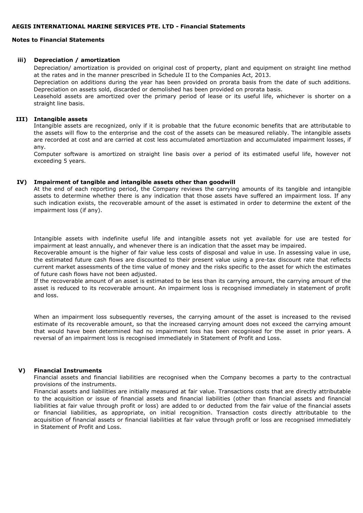# Notes to Financial Statements

# iii) Depreciation / amortization

Depreciation/ amortization is provided on original cost of property, plant and equipment on straight line method at the rates and in the manner prescribed in Schedule II to the Companies Act, 2013.

Depreciation on additions during the year has been provided on prorata basis from the date of such additions. Depreciation on assets sold, discarded or demolished has been provided on prorata basis.

Leasehold assets are amortized over the primary period of lease or its useful life, whichever is shorter on a straight line basis.

#### III) Intangible assets

Intangible assets are recognized, only if it is probable that the future economic benefits that are attributable to the assets will flow to the enterprise and the cost of the assets can be measured reliably. The intangible assets are recorded at cost and are carried at cost less accumulated amortization and accumulated impairment losses, if any.

Computer software is amortized on straight line basis over a period of its estimated useful life, however not exceeding 5 years.

# IV) Impairment of tangible and intangible assets other than goodwill

At the end of each reporting period, the Company reviews the carrying amounts of its tangible and intangible assets to determine whether there is any indication that those assets have suffered an impairment loss. If any such indication exists, the recoverable amount of the asset is estimated in order to determine the extent of the impairment loss (if any).

Intangible assets with indefinite useful life and intangible assets not yet available for use are tested for impairment at least annually, and whenever there is an indication that the asset may be impaired.

Recoverable amount is the higher of fair value less costs of disposal and value in use. In assessing value in use, the estimated future cash flows are discounted to their present value using a pre-tax discount rate that reflects current market assessments of the time value of money and the risks specific to the asset for which the estimates of future cash flows have not been adjusted.

If the recoverable amount of an asset is estimated to be less than its carrying amount, the carrying amount of the asset is reduced to its recoverable amount. An impairment loss is recognised immediately in statement of profit and loss.

When an impairment loss subsequently reverses, the carrying amount of the asset is increased to the revised estimate of its recoverable amount, so that the increased carrying amount does not exceed the carrying amount that would have been determined had no impairment loss has been recognised for the asset in prior years. A reversal of an impairment loss is recognised immediately in Statement of Profit and Loss.

### V) Financial Instruments

Financial assets and financial liabilities are recognised when the Company becomes a party to the contractual provisions of the instruments.

Financial assets and liabilities are initially measured at fair value. Transactions costs that are directly attributable to the acquisition or issue of financial assets and financial liabilities (other than financial assets and financial liabilities at fair value through profit or loss) are added to or deducted from the fair value of the financial assets or financial liabilities, as appropriate, on initial recognition. Transaction costs directly attributable to the acquisition of financial assets or financial liabilities at fair value through profit or loss are recognised immediately in Statement of Profit and Loss.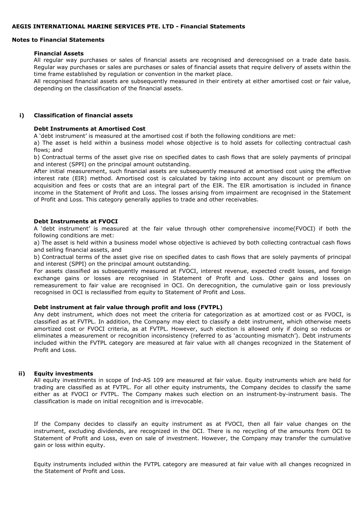#### Notes to Financial Statements

#### Financial Assets

All regular way purchases or sales of financial assets are recognised and derecognised on a trade date basis. Regular way purchases or sales are purchases or sales of financial assets that require delivery of assets within the time frame established by regulation or convention in the market place.

All recognised financial assets are subsequently measured in their entirety at either amortised cost or fair value, depending on the classification of the financial assets.

#### i) Classification of financial assets

#### Debt Instruments at Amortised Cost

A 'debt instrument' is measured at the amortised cost if both the following conditions are met:

a) The asset is held within a business model whose objective is to hold assets for collecting contractual cash flows; and

b) Contractual terms of the asset give rise on specified dates to cash flows that are solely payments of principal and interest (SPPI) on the principal amount outstanding.

After initial measurement, such financial assets are subsequently measured at amortised cost using the effective interest rate (EIR) method. Amortised cost is calculated by taking into account any discount or premium on acquisition and fees or costs that are an integral part of the EIR. The EIR amortisation is included in finance income in the Statement of Profit and Loss. The losses arising from impairment are recognised in the Statement of Profit and Loss. This category generally applies to trade and other receivables.

#### Debt Instruments at FVOCI

A 'debt instrument' is measured at the fair value through other comprehensive income(FVOCI) if both the following conditions are met:

a) The asset is held within a business model whose objective is achieved by both collecting contractual cash flows and selling financial assets, and

b) Contractual terms of the asset give rise on specified dates to cash flows that are solely payments of principal and interest (SPPI) on the principal amount outstanding.

For assets classified as subsequently measured at FVOCI, interest revenue, expected credit losses, and foreign exchange gains or losses are recognised in Statement of Profit and Loss. Other gains and losses on remeasurement to fair value are recognised in OCI. On derecognition, the cumulative gain or loss previously recognised in OCI is reclassified from equity to Statement of Profit and Loss.

### Debt instrument at fair value through profit and loss (FVTPL)

Any debt instrument, which does not meet the criteria for categorization as at amortized cost or as FVOCI, is classified as at FVTPL. In addition, the Company may elect to classify a debt instrument, which otherwise meets amortized cost or FVOCI criteria, as at FVTPL. However, such election is allowed only if doing so reduces or eliminates a measurement or recognition inconsistency (referred to as 'accounting mismatch'). Debt instruments included within the FVTPL category are measured at fair value with all changes recognized in the Statement of Profit and Loss.

### ii) Equity investments

All equity investments in scope of Ind-AS 109 are measured at fair value. Equity instruments which are held for trading are classified as at FVTPL. For all other equity instruments, the Company decides to classify the same either as at FVOCI or FVTPL. The Company makes such election on an instrument-by-instrument basis. The classification is made on initial recognition and is irrevocable.

If the Company decides to classify an equity instrument as at FVOCI, then all fair value changes on the instrument, excluding dividends, are recognized in the OCI. There is no recycling of the amounts from OCI to Statement of Profit and Loss, even on sale of investment. However, the Company may transfer the cumulative gain or loss within equity.

Equity instruments included within the FVTPL category are measured at fair value with all changes recognized in the Statement of Profit and Loss.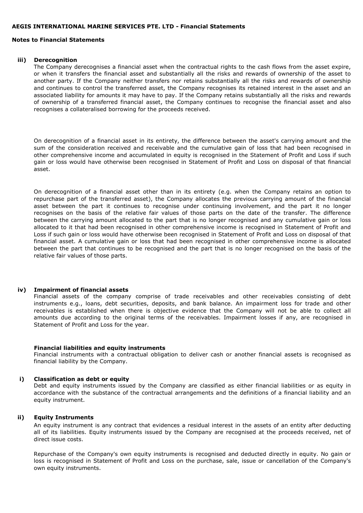#### Notes to Financial Statements

#### iii) Derecognition

The Company derecognises a financial asset when the contractual rights to the cash flows from the asset expire, or when it transfers the financial asset and substantially all the risks and rewards of ownership of the asset to another party. If the Company neither transfers nor retains substantially all the risks and rewards of ownership and continues to control the transferred asset, the Company recognises its retained interest in the asset and an associated liability for amounts it may have to pay. If the Company retains substantially all the risks and rewards of ownership of a transferred financial asset, the Company continues to recognise the financial asset and also recognises a collateralised borrowing for the proceeds received.

On derecognition of a financial asset in its entirety, the difference between the asset's carrying amount and the sum of the consideration received and receivable and the cumulative gain of loss that had been recognised in other comprehensive income and accumulated in equity is recognised in the Statement of Profit and Loss if such gain or loss would have otherwise been recognised in Statement of Profit and Loss on disposal of that financial asset.

On derecognition of a financial asset other than in its entirety (e.g. when the Company retains an option to repurchase part of the transferred asset), the Company allocates the previous carrying amount of the financial asset between the part it continues to recognise under continuing involvement, and the part it no longer recognises on the basis of the relative fair values of those parts on the date of the transfer. The difference between the carrying amount allocated to the part that is no longer recognised and any cumulative gain or loss allocated to it that had been recognised in other comprehensive income is recognised in Statement of Profit and Loss if such gain or loss would have otherwise been recognised in Statement of Profit and Loss on disposal of that financial asset. A cumulative gain or loss that had been recognised in other comprehensive income is allocated between the part that continues to be recognised and the part that is no longer recognised on the basis of the relative fair values of those parts.

### iv) Impairment of financial assets

Financial assets of the company comprise of trade receivables and other receivables consisting of debt instruments e.g., loans, debt securities, deposits, and bank balance. An impairment loss for trade and other receivables is established when there is objective evidence that the Company will not be able to collect all amounts due according to the original terms of the receivables. Impairment losses if any, are recognised in Statement of Profit and Loss for the year.

#### Financial liabilities and equity instruments

Financial instruments with a contractual obligation to deliver cash or another financial assets is recognised as financial liability by the Company.

#### i) Classification as debt or equity

Debt and equity instruments issued by the Company are classified as either financial liabilities or as equity in accordance with the substance of the contractual arrangements and the definitions of a financial liability and an equity instrument.

### ii) Equity Instruments

An equity instrument is any contract that evidences a residual interest in the assets of an entity after deducting all of its liabilities. Equity instruments issued by the Company are recognised at the proceeds received, net of direct issue costs.

Repurchase of the Company's own equity instruments is recognised and deducted directly in equity. No gain or loss is recognised in Statement of Profit and Loss on the purchase, sale, issue or cancellation of the Company's own equity instruments.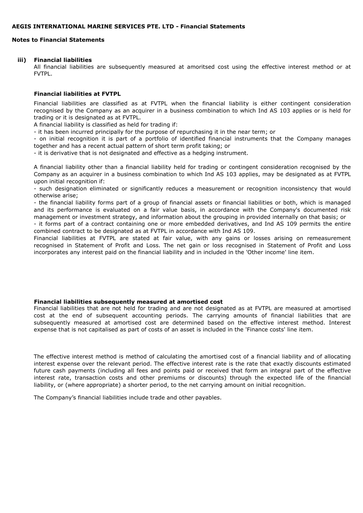# Notes to Financial Statements

#### iii) Financial liabilities

All financial liabilities are subsequently measured at amoritsed cost using the effective interest method or at FVTPL.

### Financial liabilities at FVTPL

Financial liabilities are classified as at FVTPL when the financial liability is either contingent consideration recognised by the Company as an acquirer in a business combination to which Ind AS 103 applies or is held for trading or it is designated as at FVTPL.

A financial liability is classified as held for trading if:

- it has been incurred principally for the purpose of repurchasing it in the near term; or

- on initial recognition it is part of a portfolio of identified financial instruments that the Company manages together and has a recent actual pattern of short term profit taking; or

- it is derivative that is not designated and effective as a hedging instrument.

A financial liability other than a financial liability held for trading or contingent consideration recognised by the Company as an acquirer in a business combination to which Ind AS 103 applies, may be designated as at FVTPL upon initial recognition if:

- such designation eliminated or significantly reduces a measurement or recognition inconsistency that would otherwise arise;

- the financial liability forms part of a group of financial assets or financial liabilities or both, which is managed and its performance is evaluated on a fair value basis, in accordance with the Company's documented risk management or investment strategy, and information about the grouping in provided internally on that basis; or

- it forms part of a contract containing one or more embedded derivatives, and Ind AS 109 permits the entire combined contract to be designated as at FVTPL in accordance with Ind AS 109.

Financial liabilities at FVTPL are stated at fair value, with any gains or losses arising on remeasurement recognised in Statement of Profit and Loss. The net gain or loss recognised in Statement of Profit and Loss incorporates any interest paid on the financial liability and in included in the 'Other income' line item.

## Financial liabilities subsequently measured at amortised cost

Financial liabilities that are not held for trading and are not designated as at FVTPL are measured at amortised cost at the end of subsequent accounting periods. The carrying amounts of financial liabilities that are subsequently measured at amortised cost are determined based on the effective interest method. Interest expense that is not capitalised as part of costs of an asset is included in the 'Finance costs' line item.

The effective interest method is method of calculating the amortised cost of a financial liability and of allocating interest expense over the relevant period. The effective interest rate is the rate that exactly discounts estimated future cash payments (including all fees and points paid or received that form an integral part of the effective interest rate, transaction costs and other premiums or discounts) through the expected life of the financial liability, or (where appropriate) a shorter period, to the net carrying amount on initial recognition.

The Company's financial liabilities include trade and other payables.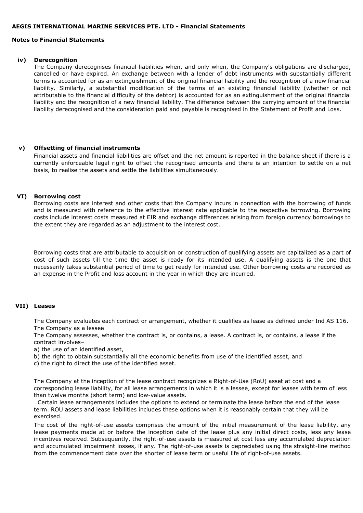### Notes to Financial Statements

#### iv) Derecognition

The Company derecognises financial liabilities when, and only when, the Company's obligations are discharged, cancelled or have expired. An exchange between with a lender of debt instruments with substantially different terms is accounted for as an extinguishment of the original financial liability and the recognition of a new financial liability. Similarly, a substantial modification of the terms of an existing financial liability (whether or not attributable to the financial difficulty of the debtor) is accounted for as an extinguishment of the original financial liability and the recognition of a new financial liability. The difference between the carrying amount of the financial liability derecognised and the consideration paid and payable is recognised in the Statement of Profit and Loss.

#### v) Offsetting of financial instruments

Financial assets and financial liabilities are offset and the net amount is reported in the balance sheet if there is a currently enforceable legal right to offset the recognised amounts and there is an intention to settle on a net basis, to realise the assets and settle the liabilities simultaneously.

### VI) Borrowing cost

Borrowing costs are interest and other costs that the Company incurs in connection with the borrowing of funds and is measured with reference to the effective interest rate applicable to the respective borrowing. Borrowing costs include interest costs measured at EIR and exchange differences arising from foreign currency borrowings to the extent they are regarded as an adjustment to the interest cost.

Borrowing costs that are attributable to acquisition or construction of qualifying assets are capitalized as a part of cost of such assets till the time the asset is ready for its intended use. A qualifying assets is the one that necessarily takes substantial period of time to get ready for intended use. Other borrowing costs are recorded as an expense in the Profit and loss account in the year in which they are incurred.

### VII) Leases

The Company evaluates each contract or arrangement, whether it qualifies as lease as defined under Ind AS 116. The Company as a lessee

The Company assesses, whether the contract is, or contains, a lease. A contract is, or contains, a lease if the contract involves–

a) the use of an identified asset,

- b) the right to obtain substantially all the economic benefits from use of the identified asset, and
- c) the right to direct the use of the identified asset.

The Company at the inception of the lease contract recognizes a Right-of-Use (RoU) asset at cost and a corresponding lease liability, for all lease arrangements in which it is a lessee, except for leases with term of less than twelve months (short term) and low-value assets.

 Certain lease arrangements includes the options to extend or terminate the lease before the end of the lease term. ROU assets and lease liabilities includes these options when it is reasonably certain that they will be exercised.

The cost of the right-of-use assets comprises the amount of the initial measurement of the lease liability, any lease payments made at or before the inception date of the lease plus any initial direct costs, less any lease incentives received. Subsequently, the right-of-use assets is measured at cost less any accumulated depreciation and accumulated impairment losses, if any. The right-of-use assets is depreciated using the straight-line method from the commencement date over the shorter of lease term or useful life of right-of-use assets.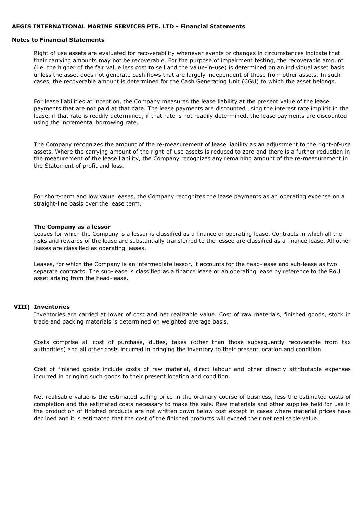#### Notes to Financial Statements

Right of use assets are evaluated for recoverability whenever events or changes in circumstances indicate that their carrying amounts may not be recoverable. For the purpose of impairment testing, the recoverable amount (i.e. the higher of the fair value less cost to sell and the value-in-use) is determined on an individual asset basis unless the asset does not generate cash flows that are largely independent of those from other assets. In such cases, the recoverable amount is determined for the Cash Generating Unit (CGU) to which the asset belongs.

For lease liabilities at inception, the Company measures the lease liability at the present value of the lease payments that are not paid at that date. The lease payments are discounted using the interest rate implicit in the lease, if that rate is readily determined, if that rate is not readily determined, the lease payments are discounted using the incremental borrowing rate.

The Company recognizes the amount of the re-measurement of lease liability as an adjustment to the right-of-use assets. Where the carrying amount of the right-of-use assets is reduced to zero and there is a further reduction in the measurement of the lease liability, the Company recognizes any remaining amount of the re-measurement in the Statement of profit and loss.

For short-term and low value leases, the Company recognizes the lease payments as an operating expense on a straight-line basis over the lease term.

#### The Company as a lessor

Leases for which the Company is a lessor is classified as a finance or operating lease. Contracts in which all the risks and rewards of the lease are substantially transferred to the lessee are classified as a finance lease. All other leases are classified as operating leases.

Leases, for which the Company is an intermediate lessor, it accounts for the head-lease and sub-lease as two separate contracts. The sub-lease is classified as a finance lease or an operating lease by reference to the RoU asset arising from the head-lease.

#### VIII) Inventories

Inventories are carried at lower of cost and net realizable value. Cost of raw materials, finished goods, stock in trade and packing materials is determined on weighted average basis.

Costs comprise all cost of purchase, duties, taxes (other than those subsequently recoverable from tax authorities) and all other costs incurred in bringing the inventory to their present location and condition.

Cost of finished goods include costs of raw material, direct labour and other directly attributable expenses incurred in bringing such goods to their present location and condition.

Net realisable value is the estimated selling price in the ordinary course of business, less the estimated costs of completion and the estimated costs necessary to make the sale. Raw materials and other supplies held for use in the production of finished products are not written down below cost except in cases where material prices have declined and it is estimated that the cost of the finished products will exceed their net realisable value.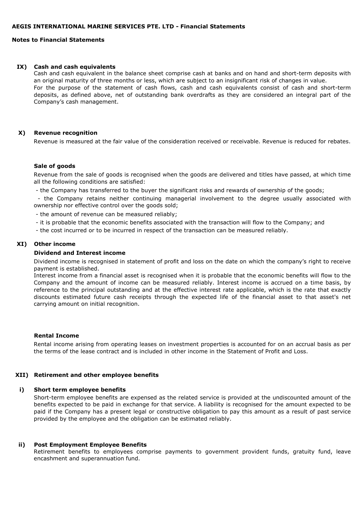## Notes to Financial Statements

#### IX) Cash and cash equivalents

Cash and cash equivalent in the balance sheet comprise cash at banks and on hand and short-term deposits with an original maturity of three months or less, which are subject to an insignificant risk of changes in value. For the purpose of the statement of cash flows, cash and cash equivalents consist of cash and short-term deposits, as defined above, net of outstanding bank overdrafts as they are considered an integral part of the Company's cash management.

#### X) Revenue recognition

Revenue is measured at the fair value of the consideration received or receivable. Revenue is reduced for rebates.

#### Sale of goods

Revenue from the sale of goods is recognised when the goods are delivered and titles have passed, at which time all the following conditions are satisfied:

- the Company has transferred to the buyer the significant risks and rewards of ownership of the goods;

- the Company retains neither continuing managerial involvement to the degree usually associated with ownership nor effective control over the goods sold;

- the amount of revenue can be measured reliably;

- it is probable that the economic benefits associated with the transaction will flow to the Company; and

- the cost incurred or to be incurred in respect of the transaction can be measured reliably.

#### XI) Other income

#### Dividend and Interest income

Dividend income is recognised in statement of profit and loss on the date on which the company's right to receive payment is established.

Interest income from a financial asset is recognised when it is probable that the economic benefits will flow to the Company and the amount of income can be measured reliably. Interest income is accrued on a time basis, by reference to the principal outstanding and at the effective interest rate applicable, which is the rate that exactly discounts estimated future cash receipts through the expected life of the financial asset to that asset's net carrying amount on initial recognition.

#### Rental Income

Rental income arising from operating leases on investment properties is accounted for on an accrual basis as per the terms of the lease contract and is included in other income in the Statement of Profit and Loss.

#### XII) Retirement and other employee benefits

#### i) Short term employee benefits

Short-term employee benefits are expensed as the related service is provided at the undiscounted amount of the benefits expected to be paid in exchange for that service. A liability is recognised for the amount expected to be paid if the Company has a present legal or constructive obligation to pay this amount as a result of past service provided by the employee and the obligation can be estimated reliably.

#### ii) Post Employment Employee Benefits

Retirement benefits to employees comprise payments to government provident funds, gratuity fund, leave encashment and superannuation fund.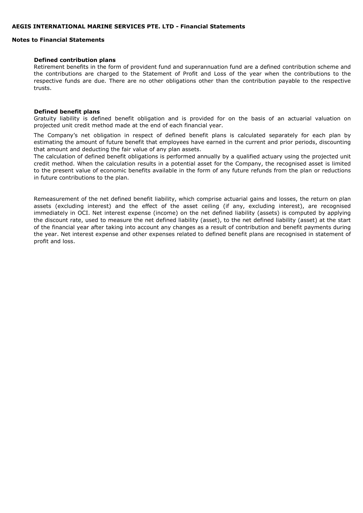### Notes to Financial Statements

#### Defined contribution plans

Retirement benefits in the form of provident fund and superannuation fund are a defined contribution scheme and the contributions are charged to the Statement of Profit and Loss of the year when the contributions to the respective funds are due. There are no other obligations other than the contribution payable to the respective trusts.

#### Defined benefit plans

Gratuity liability is defined benefit obligation and is provided for on the basis of an actuarial valuation on projected unit credit method made at the end of each financial year.

The Company's net obligation in respect of defined benefit plans is calculated separately for each plan by estimating the amount of future benefit that employees have earned in the current and prior periods, discounting that amount and deducting the fair value of any plan assets.

The calculation of defined benefit obligations is performed annually by a qualified actuary using the projected unit credit method. When the calculation results in a potential asset for the Company, the recognised asset is limited to the present value of economic benefits available in the form of any future refunds from the plan or reductions in future contributions to the plan.

Remeasurement of the net defined benefit liability, which comprise actuarial gains and losses, the return on plan assets (excluding interest) and the effect of the asset ceiling (if any, excluding interest), are recognised immediately in OCI. Net interest expense (income) on the net defined liability (assets) is computed by applying the discount rate, used to measure the net defined liability (asset), to the net defined liability (asset) at the start of the financial year after taking into account any changes as a result of contribution and benefit payments during the year. Net interest expense and other expenses related to defined benefit plans are recognised in statement of profit and loss.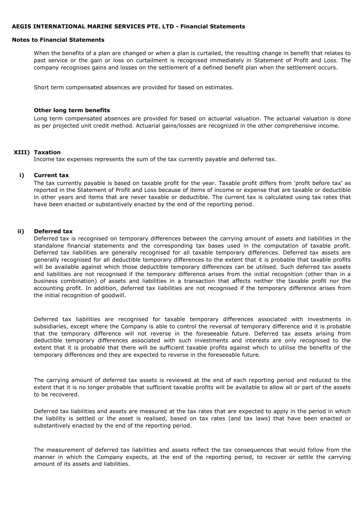#### Notes to Financial Statements

When the benefits of a plan are changed or when a plan is curtailed, the resulting change in benefit that relates to past service or the gain or loss on curtailment is recognised immediately in Statement of Profit and Loss. The company recognises gains and losses on the settlement of a defined benefit plan when the settlement occurs.

Short term compensated absences are provided for based on estimates.

#### Other long term benefits

Long term compensated absences are provided for based on actuarial valuation. The actuarial valuation is done as per projected unit credit method. Actuarial gains/losses are recognized in the other comprehensive income.

#### XIII) Taxation

Income tax expenses represents the sum of the tax currently payable and deferred tax.

#### i) Current tax

The tax currently payable is based on taxable profit for the year. Taxable profit differs from 'profit before tax' as reported in the Statement of Profit and Loss because of items of income or expense that are taxable or deductible in other years and items that are never taxable or deductible. The current tax is calculated using tax rates that have been enacted or substantively enacted by the end of the reporting period.

#### ii) Deferred tax

Deferred tax is recognised on temporary differences between the carrying amount of assets and liabilities in the standalone financial statements and the corresponding tax bases used in the computation of taxable profit. Deferred tax liabilities are generally recognised for all taxable temporary differences. Deferred tax assets are generally recognised for all deductible temporary differences to the extent that it is probable that taxable profits will be available against which those deductible temporary differences can be utilised. Such deferred tax assets and liabilities are not recognised if the temporary difference arises from the initial recognition (other than in a business combination) of assets and liabilities in a transaction that affects neither the taxable profit nor the accounting profit. In addition, deferred tax liabilities are not recognised if the temporary difference arises from the initial recognition of goodwill.

Deferred tax liabilities are recognised for taxable temporary differences associated with investments in subsidiaries, except where the Company is able to control the reversal of temporary difference and it is probable that the temporary difference will not reverse in the foreseeable future. Deferred tax assets arising from deductible temporary differences associated with such investments and interests are only recognised to the extent that it is probable that there will be sufficient taxable profits against which to utilise the benefits of the temporary differences and they are expected to reverse in the foreseeable future.

The carrying amount of deferred tax assets is reviewed at the end of each reporting period and reduced to the extent that it is no longer probable that sufficient taxable profits will be available to allow all or part of the assets to be recovered.

Deferred tax liabilities and assets are measured at the tax rates that are expected to apply in the period in which the liability is settled or the asset is realised, based on tax rates (and tax laws) that have been enacted or substantively enacted by the end of the reporting period.

The measurement of deferred tax liabilities and assets reflect the tax consequences that would follow from the manner in which the Company expects, at the end of the reporting period, to recover or settle the carrying amount of its assets and liabilities.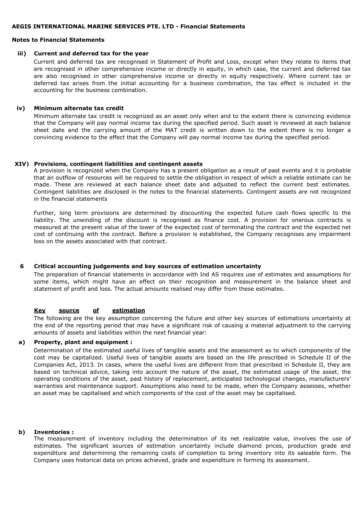#### Notes to Financial Statements

#### iii) Current and deferred tax for the year

Current and deferred tax are recognised in Statement of Profit and Loss, except when they relate to items that are recognised in other comprehensive income or directly in equity, in which case, the current and deferred tax are also recognised in other comprehensive income or directly in equity respectively. Where current tax or deferred tax arises from the initial accounting for a business combination, the tax effect is included in the accounting for the business combination.

#### iv) Minimum alternate tax credit

Minimum alternate tax credit is recognized as an asset only when and to the extent there is convincing evidence that the Company will pay normal income tax during the specified period. Such asset is reviewed at each balance sheet date and the carrying amount of the MAT credit is written down to the extent there is no longer a convincing evidence to the effect that the Company will pay normal income tax during the specified period.

#### XIV) Provisions, contingent liabilities and contingent assets

A provision is recognized when the Company has a present obligation as a result of past events and it is probable that an outflow of resources will be required to settle the obligation in respect of which a reliable estimate can be made. These are reviewed at each balance sheet date and adjusted to reflect the current best estimates. Contingent liabilities are disclosed in the notes to the financial statements. Contingent assets are not recognized in the financial statements

Further, long term provisions are determined by discounting the expected future cash flows specific to the liability. The unwinding of the discount is recognised as finance cost. A provision for onerous contracts is measured at the present value of the lower of the expected cost of terminating the contract and the expected net cost of continuing with the contract. Before a provision is established, the Company recognises any impairment loss on the assets associated with that contract.

#### 6 Critical accounting judgements and key sources of estimation uncertainty

The preparation of financial statements in accordance with Ind AS requires use of estimates and assumptions for some items, which might have an effect on their recognition and measurement in the balance sheet and statement of profit and loss. The actual amounts realised may differ from these estimates.

# Key source of estimation

The following are the key assumption concerning the future and other key sources of estimations uncertainty at the end of the reporting period that may have a significant risk of causing a material adjustment to the carrying amounts of assets and liabilities within the next financial year:

# a) Property, plant and equipment :

Determination of the estimated useful lives of tangible assets and the assessment as to which components of the cost may be capitalized. Useful lives of tangible assets are based on the life prescribed in Schedule II of the Companies Act, 2013. In cases, where the useful lives are different from that prescribed in Schedule II, they are based on technical advice, taking into account the nature of the asset, the estimated usage of the asset, the operating conditions of the asset, past history of replacement, anticipated technological changes, manufacturers' warranties and maintenance support. Assumptions also need to be made, when the Company assesses, whether an asset may be capitalised and which components of the cost of the asset may be capitalised.

#### b) Inventories :

The measurement of inventory including the determination of its net realizable value, involves the use of estimates. The significant sources of estimation uncertainty include diamond prices, production grade and expenditure and determining the remaining costs of completion to bring inventory into its saleable form. The Company uses historical data on prices achieved, grade and expenditure in forming its assessment.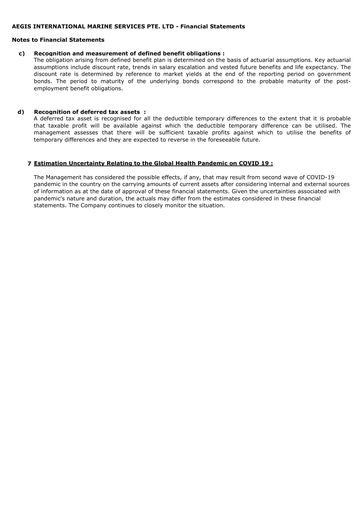#### Notes to Financial Statements

#### c) Recognition and measurement of defined benefit obligations :

The obligation arising from defined benefit plan is determined on the basis of actuarial assumptions. Key actuarial assumptions include discount rate, trends in salary escalation and vested future benefits and life expectancy. The discount rate is determined by reference to market yields at the end of the reporting period on government bonds. The period to maturity of the underlying bonds correspond to the probable maturity of the postemployment benefit obligations.

### d) Recognition of deferred tax assets :

A deferred tax asset is recognised for all the deductible temporary differences to the extent that it is probable that taxable profit will be available against which the deductible temporary difference can be utilised. The management assesses that there will be sufficient taxable profits against which to utilise the benefits of temporary differences and they are expected to reverse in the foreseeable future.

#### 7 Estimation Uncertainty Relating to the Global Health Pandemic on COVID 19 :

The Management has considered the possible effects, if any, that may result from second wave of COVID-19 pandemic in the country on the carrying amounts of current assets after considering internal and external sources of information as at the date of approval of these financial statements. Given the uncertainties associated with pandemic's nature and duration, the actuals may differ from the estimates considered in these financial statements. The Company continues to closely monitor the situation.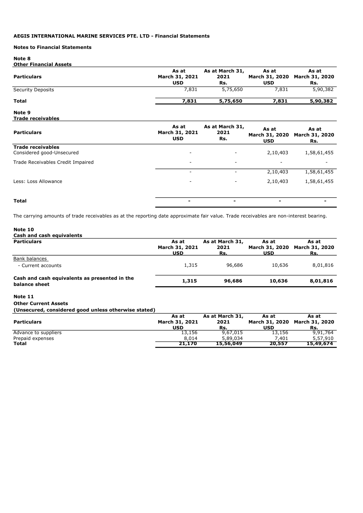#### Notes to Financial Statements

### Note 8

#### Other Financial Assets

| <b>Particulars</b>       | As at<br>March 31, 2021<br><b>USD</b> | As at March 31,<br>2021<br>Rs. | As at<br><b>USD</b> | As at<br>March 31, 2020 March 31, 2020<br>Rs. |
|--------------------------|---------------------------------------|--------------------------------|---------------------|-----------------------------------------------|
| <b>Security Deposits</b> | 7,831                                 | 5,75,650                       | 7,831               | 5,90,382                                      |
| <b>Total</b>             | 7,831                                 | 5,75,650                       | 7,831               | 5,90,382                                      |

#### Note 9 Trade receivables

| <b>Particulars</b>                                    | As at<br>March 31, 2021<br><b>USD</b> | As at March 31,<br>2021<br>Rs. | As at<br>March 31, 2020<br><b>USD</b> | As at<br>March 31, 2020<br>Rs. |
|-------------------------------------------------------|---------------------------------------|--------------------------------|---------------------------------------|--------------------------------|
| <b>Trade receivables</b><br>Considered good-Unsecured | $\overline{\phantom{0}}$              | $\overline{\phantom{a}}$       | 2,10,403                              | 1,58,61,455                    |
| Trade Receivables Credit Impaired                     | $\overline{\phantom{a}}$              | $\overline{\phantom{a}}$       | $\overline{\phantom{0}}$              | $\overline{\phantom{a}}$       |
|                                                       | $\overline{\phantom{a}}$              | $\overline{\phantom{a}}$       | 2,10,403                              | 1,58,61,455                    |
| Less: Loss Allowance                                  | $\overline{\phantom{a}}$              | $\overline{\phantom{a}}$       | 2,10,403                              | 1,58,61,455                    |
| <b>Total</b>                                          |                                       | $\sim$                         | $\blacksquare$                        |                                |

The carrying amounts of trade receivables as at the reporting date approximate fair value. Trade receivables are non-interest bearing.

### Note 10

| Cash and cash equivalents                     |                |                 |                |                       |
|-----------------------------------------------|----------------|-----------------|----------------|-----------------------|
| <b>Particulars</b>                            | As at          | As at March 31, | As at          | As at                 |
|                                               | March 31, 2021 | 2021            | March 31, 2020 | <b>March 31, 2020</b> |
|                                               | <b>USD</b>     | Rs.             | <b>USD</b>     | Rs.                   |
| Bank balances                                 |                |                 |                |                       |
| - Current accounts                            | 1,315          | 96,686          | 10,636         | 8,01,816              |
| Cash and cash equivalents as presented in the |                |                 |                |                       |
| balance sheet                                 | 1,315          | 96,686          | 10,636         | 8,01,816              |

# Note 11

#### Other Current Assets

(Unsecured, considered good unless otherwise stated)

|                      | As at          | As at March 31, | As at      | As at                         |
|----------------------|----------------|-----------------|------------|-------------------------------|
| <b>Particulars</b>   | March 31, 2021 | 2021            |            | March 31, 2020 March 31, 2020 |
|                      | USD            | Rs.             | <b>USD</b> | Rs.                           |
| Advance to suppliers | 13,156         | 9,67,015        | 13,156     | 9,91,764                      |
| Prepaid expenses     | 8,014          | 5,89,034        | 7.401      | 5,57,910                      |
| <b>Total</b>         | 21.170         | 15,56,049       | 20,557     | 15,49,674                     |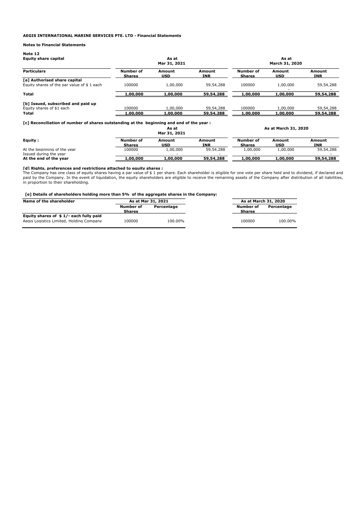#### Notes to Financial Statements

| Note 12<br><b>Equity share capital</b>                                            |                            | As at<br>Mar 31, 2021 |                        | As at<br>March 31, 2020    |                      |                        |  |
|-----------------------------------------------------------------------------------|----------------------------|-----------------------|------------------------|----------------------------|----------------------|------------------------|--|
| <b>Particulars</b>                                                                | Number of<br><b>Shares</b> | Amount<br>USD         | Amount<br>INR          | Number of<br><b>Shares</b> | Amount<br>USD        | Amount<br><b>INR</b>   |  |
| <b>Tal Authorised share capital</b><br>Equity shares of the par value of \$1 each | 100000                     | 1,00,000              | 59,54,288              | 100000                     | 1,00,000             | 59,54,288              |  |
| <b>Total</b>                                                                      | 1,00,000                   | 1,00,000              | 59,54,288              | 1,00,000                   | 1,00,000             | 59,54,288              |  |
| [b] Issued, subscribed and paid up<br>Equity shares of \$1 each<br>Total          | 100000<br>,00,000          | 1,00,000<br>1,00,000  | 59,54,288<br>59,54,288 | 100000<br>1,00,000         | 1.00.000<br>1,00,000 | 59,54,288<br>59,54,288 |  |
|                                                                                   |                            |                       |                        |                            |                      |                        |  |

[c] Reconciliation of number of shares outstanding at the beginning and end of the year :

|                                                  |                            | As at<br>Mar 31, 2021 |               | As at March 31, 2020                                  |          |           |  |
|--------------------------------------------------|----------------------------|-----------------------|---------------|-------------------------------------------------------|----------|-----------|--|
| Equity:                                          | Number of<br><b>Shares</b> | Amount<br>USD         | Amount<br>INR | Number of<br>Amount<br>Amount<br>USD<br><b>Shares</b> | INR      |           |  |
| At the beginning of the year                     | 100000                     | 1,00,000              | 59,54,288     | 1,00,000                                              | 1,00,000 | 59,54,288 |  |
| Issued during the year<br>At the end of the year | 1,00,000                   | 1,00,000              | 59,54,288     | 1,00,000                                              | 1,00,000 | 59,54,288 |  |

**[d] Rights, preferences and restrictions attached to equity shares :**<br>The Company has one class of equity shares having a par value of \$ 1 per share. Each shareholder is eligible for one vote per share held and to dividen paid by the Company. In the event of liquidation, the equity shareholders are eligible to receive the remaining assets of the Company after distribution of all liabilities, in proportion to their shareholding.

#### [e] Details of shareholders holding more than 5% of the aggregate shares in the Company:

| Name of the shareholder                  |                            | As at Mar 31, 2021 |                            | As at March 31, 2020 |
|------------------------------------------|----------------------------|--------------------|----------------------------|----------------------|
|                                          | Number of<br><b>Shares</b> | Percentage         | Number of<br><b>Shares</b> | Percentage           |
| Equity shares of \$1/-each fully paid    |                            |                    |                            |                      |
| Aegis Logistics Limited, Holding Company | 100000                     | 100.00%            | 100000                     | 100.00%              |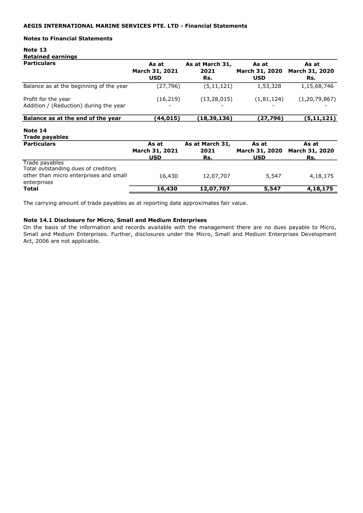### Notes to Financial Statements

# Note 13 Retained earnings

| <b>Particulars</b>                                            | As at<br>March 31, 2021<br><b>USD</b> | As at March 31,<br>2021<br>Rs. | As at<br><b>March 31, 2020</b><br><b>USD</b> | As at<br>March 31, 2020<br>Rs. |
|---------------------------------------------------------------|---------------------------------------|--------------------------------|----------------------------------------------|--------------------------------|
| Balance as at the beginning of the year                       | (27, 796)                             | (5, 11, 121)                   | 1,53,328                                     | 1,15,68,746                    |
| Profit for the year<br>Addition / (Reduction) during the year | (16, 219)                             | (13, 28, 015)                  | (1,81,124)                                   | (1, 20, 79, 867)               |
| Balance as at the end of the year                             | (44, 015)                             | (18,39,136)                    | (27,796)                                     | (5, 11, 121)                   |
| Note 14<br>Trade payables                                     |                                       |                                |                                              |                                |
| <b>Particulars</b>                                            | As at<br>March 31, 2021<br><b>USD</b> | As at March 31,<br>2021<br>Rs. | As at<br>March 31, 2020<br><b>USD</b>        | As at<br>March 31, 2020<br>Rs. |
| Trade payables<br>Total outstanding dues of creditors         |                                       |                                |                                              |                                |
| other than micro enterprises and small<br>enterprises         | 16,430                                | 12,07,707                      | 5,547                                        | 4,18,175                       |
| Total                                                         | 16,430                                | 12,07,707                      | 5,547                                        | 4,18,175                       |

The carrying amount of trade payables as at reporting date approximates fair value.

### Note 14.1 Disclosure for Micro, Small and Medium Enterprises

On the basis of the information and records available with the management there are no dues payable to Micro, Small and Medium Enterprises. Further, disclosures under the Micro, Small and Medium Enterprises Development Act, 2006 are not applicable.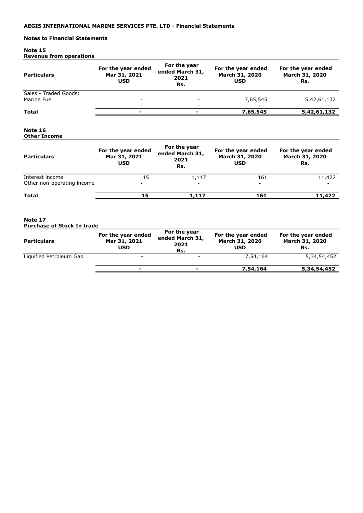# Notes to Financial Statements

#### Note 15 Revenue from operations

| <b>Particulars</b>                            | For the year ended<br>Mar 31, 2021<br><b>USD</b> | For the year<br>ended March 31,<br>2021<br>Rs. | For the year ended<br>March 31, 2020<br><b>USD</b> | For the year ended<br>March 31, 2020<br>Rs. |
|-----------------------------------------------|--------------------------------------------------|------------------------------------------------|----------------------------------------------------|---------------------------------------------|
| Sales - Traded Goods:<br>Marine Fuel          |                                                  |                                                | 7,65,545                                           | 5,42,61,132                                 |
| <b>Total</b>                                  |                                                  |                                                | 7,65,545                                           | 5,42,61,132                                 |
| Note 16<br><b>Other Income</b>                |                                                  |                                                |                                                    |                                             |
| <b>Particulars</b>                            | For the year ended<br>Mar 31, 2021<br><b>USD</b> | For the year<br>ended March 31,<br>2021<br>Rs. | For the year ended<br>March 31, 2020<br><b>USD</b> | For the year ended<br>March 31, 2020<br>Rs. |
| Interest income<br>Other non-operating income | 15                                               | 1,117                                          | 161                                                | 11,422                                      |
| <b>Total</b>                                  | 15                                               | 1,117                                          | 161                                                | 11,422                                      |
| Note 17<br><b>Purchase of Stock In trade</b>  |                                                  |                                                |                                                    |                                             |
| <b>Particulars</b>                            | For the year ended<br>Mar 31, 2021<br><b>USD</b> | For the year<br>ended March 31,<br>2021<br>Rs. | For the year ended<br>March 31, 2020<br><b>USD</b> | For the year ended<br>March 31, 2020<br>Rs. |
| Liquified Petroleum Gas                       |                                                  |                                                | 7,54,164                                           | 5,34,54,452                                 |
|                                               | -                                                |                                                | 7,54,164                                           | 5,34,54,452                                 |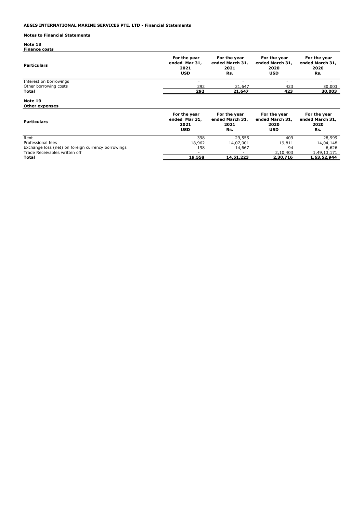# Notes to Financial Statements

Note 18 Finance costs

| <b>Particulars</b>                                                                                               | For the year<br>ended Mar 31,<br>2021<br><b>USD</b> | For the year<br>ended March 31,<br>2021<br>Rs. | For the year<br>ended March 31,<br>2020<br><b>USD</b> | For the year<br>ended March 31,<br>2020<br>Rs. |
|------------------------------------------------------------------------------------------------------------------|-----------------------------------------------------|------------------------------------------------|-------------------------------------------------------|------------------------------------------------|
| Interest on borrowings<br>Other borrowing costs                                                                  | 292                                                 | 21,647                                         | $\overline{\phantom{0}}$<br>423                       | 30,003                                         |
| Total                                                                                                            | 292                                                 | 21,647                                         | 423                                                   | 30,003                                         |
| Note 19<br><b>Other expenses</b>                                                                                 |                                                     |                                                |                                                       |                                                |
| <b>Particulars</b>                                                                                               | For the year<br>ended Mar 31,<br>2021<br><b>USD</b> | For the year<br>ended March 31,<br>2021<br>Rs. | For the year<br>ended March 31,<br>2020<br><b>USD</b> | For the year<br>ended March 31,<br>2020<br>Rs. |
| Rent<br>Professional fees<br>Exchange loss (net) on foreign currency borrowings<br>Trade Receivables written off | 398<br>18,962<br>198                                | 29,555<br>14,07,001<br>14,667                  | 409<br>19,811<br>94<br>2,10,403                       | 28,999<br>14,04,148<br>6,626<br>1,49,13,171    |
| Total                                                                                                            | 19,558                                              | 14,51,223                                      | 2,30,716                                              | 1,63,52,944                                    |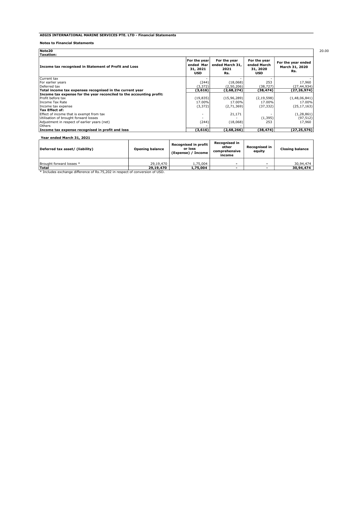#### Notes to Financial Statements

| Income tax recognised in Statement of Profit and Loss                | For the year<br>ended Mar<br>31, 2021<br><b>USD</b> | For the year<br>ended March 31,<br>2021<br>Rs. | For the year<br>ended March<br>31, 2020<br><b>USD</b> | For the year ended<br>March 31, 2020<br>Rs. |  |
|----------------------------------------------------------------------|-----------------------------------------------------|------------------------------------------------|-------------------------------------------------------|---------------------------------------------|--|
| Current tax                                                          |                                                     |                                                |                                                       |                                             |  |
| For earlier years                                                    | (244)                                               | (18,068)                                       | 253                                                   | 17,960                                      |  |
| Deferred tax                                                         | (3,372)                                             | (2,50,206)                                     | (38, 727)                                             | (27,44,934)                                 |  |
| Total income tax expenses recognised in the current year             | (3,616)                                             | (2,68,274)                                     | (38, 474)                                             | (27, 26, 974)                               |  |
| Income tax expense for the year reconciled to the accounting profit: |                                                     |                                                |                                                       |                                             |  |
| Profit before tax                                                    | (19, 835)                                           | (15, 96, 289)                                  | (2, 19, 598)                                          | (1,48,06,841)                               |  |
| Income Tax Rate                                                      | 17.00%                                              | 17.00%                                         | 17.00%                                                | 17.00%                                      |  |
| Income tax expense                                                   | (3, 372)                                            | (2,71,369)                                     | (37, 332)                                             | (25, 17, 163)                               |  |
| Tax Effect of:                                                       |                                                     |                                                |                                                       |                                             |  |
| Effect of income that is exempt from tax                             | ۰                                                   | 21,171                                         |                                                       | (1, 28, 861)                                |  |
| Utilisation of brought forward losses                                | $\sim$                                              |                                                | (1, 395)                                              | (97, 512)                                   |  |
| Adjustment in respect of earlier years (net)                         | (244)                                               | (18,068)                                       | 253                                                   | 17,960                                      |  |
| <b>lOthers</b>                                                       |                                                     |                                                |                                                       |                                             |  |
| Income tax expense recognised in profit and loss                     | (3,616)                                             | (2,68,266)                                     | (38,474)                                              | (27,25,576)                                 |  |

| Deferred tax asset/ (liability)                                              | <b>Opening balance</b> | <b>Recognised in profit</b><br>or loss<br>(Expense) / Income | <b>Recognised in</b><br>other<br>comprehensive<br>income | Recognised in<br>equity | <b>Closing balance</b> |
|------------------------------------------------------------------------------|------------------------|--------------------------------------------------------------|----------------------------------------------------------|-------------------------|------------------------|
| Brought forward losses *                                                     | 29,19,470              | 1.75.004                                                     | -                                                        |                         | 30.94.474              |
| <b>Total</b>                                                                 | 29,19,470              | 1,75,004                                                     |                                                          |                         | 30,94,474              |
| * Includes exchange difference of Rs.75,202 in respect of conversion of USD. |                        |                                                              |                                                          |                         |                        |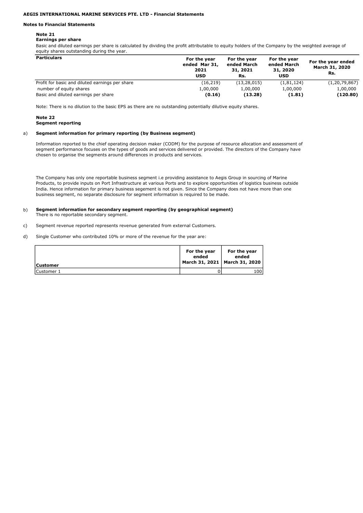#### Notes to Financial Statements

#### Note 21

#### Earnings per share

Basic and diluted earnings per share is calculated by dividing the profit attributable to equity holders of the Company by the weighted average of equity shares outstanding during the year.

| <b>Particulars</b>                              | For the year<br>ended Mar 31,<br>2021<br><b>USD</b> | For the year<br>ended March<br>31, 2021<br>Rs. | For the year<br>ended March<br>31, 2020<br><b>USD</b> | For the year ended<br>March 31, 2020<br>Rs. |
|-------------------------------------------------|-----------------------------------------------------|------------------------------------------------|-------------------------------------------------------|---------------------------------------------|
| Profit for basic and diluted earnings per share | (16, 219)                                           | (13, 28, 015)                                  | (1,81,124)                                            | (1, 20, 79, 867)                            |
| number of equity shares                         | 1,00,000                                            | 1,00,000                                       | 1,00,000                                              | 1,00,000                                    |
| Basic and diluted earnings per share            | (0.16)                                              | (13.28)                                        | (1.81)                                                | (120.80)                                    |

Note: There is no dilution to the basic EPS as there are no outstanding potentially dilutive equity shares.

#### Note 22 Segment reporting

#### a) Segment information for primary reporting (by Business segment)

Information reported to the chief operating decision maker (CODM) for the purpose of resource allocation and assessment of segment performance focuses on the types of goods and services delivered or provided. The directors of the Company have chosen to organise the segments around differences in products and services.

The Company has only one reportable business segment i.e providing assistance to Aegis Group in sourcing of Marine Products, to provide inputs on Port Infrastructure at various Ports and to explore opportunities of logistics business outside India. Hence information for primary business segement is not given. Since the Company does not have more than one business segment, no separate disclosure for segment information is required to be made.

#### b) Segment information for secondary segment reporting (by geographical segment) There is no reportable secondary segment.

- c) Segment revenue reported represents revenue generated from external Customers.
- d) Single Customer who contributed 10% or more of the revenue for the year are:

| <b>Customer</b> | For the year<br>ended<br>March 31, 2021   March 31, 2020 | For the year<br>ended |
|-----------------|----------------------------------------------------------|-----------------------|
| Customer 1      |                                                          | 100                   |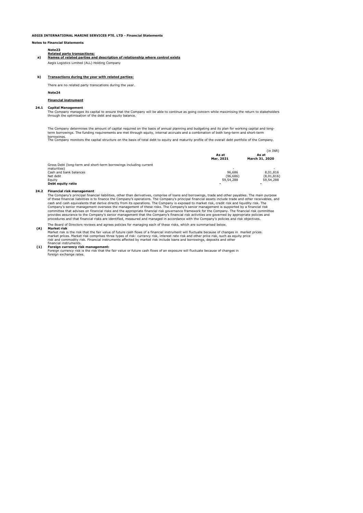Notes to Financial Statements

#### Note23 Related party transactions:

#### a) Names of related parties and description of relationship where control exists

Aegis Logistics Limited (ALL) Holding Company

#### b) Transactions during the year with related parties:

There are no related party transcations during the year.

#### Note24

Financial instrument

#### 24.1 Capital Management

The Company manages its capital to ensure that the Company will be able to continue as going concern while maximising the return to stakeholders through the optimisation of the debt and equity balance.

The Company determines the amount of capital required on the basis of annual planning and budgeting and its plan for working capital and longterm borrowings. The funding requirements are met through equity, internal accruals and a combination of both long-term and short-term borrowings. The Company monitors the capital structure on the basis of total debt to equity and maturity profile of the overall debt portfolio of the Company.

|                                                                   |                | (in INR)       |  |  |
|-------------------------------------------------------------------|----------------|----------------|--|--|
|                                                                   | As at          | As at          |  |  |
|                                                                   | Mar. 2021      | March 31, 2020 |  |  |
| Gross Debt (long-term and short-term borrowings including current |                |                |  |  |
| maturities)                                                       | . .            |                |  |  |
| Cash and bank balances                                            | 96.686         | 8.01.816       |  |  |
| Net debt                                                          | (96.686)       | (8,01,816)     |  |  |
| Eauity                                                            | 59,54,288      | 59,54,288      |  |  |
| Debt equity ratio                                                 | $\blacksquare$ |                |  |  |

#### 24.2 Financial risk management

The Board of Directors reviews and agrees policies for managing each of these risks, which are summarised below. The Company's principal financial liabilities, other than derivatives, comprise of loans and borrowings, trade and other payables. The main purpose<br>of these financial liabilities is to finance the Company's operations. The cash and cash equivalents that derive directly from its operations. The Company is exposed to market risk, credit risk and liquidity risk. The<br>Company's senior management oversees the management of these risks. The Company provides assurance to the Company's senior management that the Company's financial risk activities are governed by appropriate policies and<br>procedures and that financial risks are identified, measured and managed in accord

#### (A) Market risk

market prices. Market risk comprises three types of risk: currency risk, interest rate risk and other price risk, such as equity price<br>risk and commodity risk. Financial instruments affected by market risk include loans an financial instruments. Market risk is the risk that the fair value of future cash flows of a financial instrument will fluctuate because of changes in market prices.

#### (1) Foreign currency risk management:

Foreign currency risk is the risk that the fair value or future cash flows of an exposure will fluctuate because of changes in foreign exchange rates.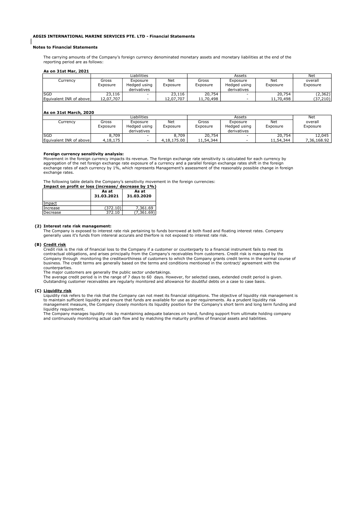#### Notes to Financial Statements

The carrying amounts of the Company's foreign currency denominated monetary assets and monetary liabilities at the end of the reporting period are as follows:

#### As on 31st Mar, 2021

|                         | Liabilities |              |           | Assets    |              |           | Net      |  |  |  |
|-------------------------|-------------|--------------|-----------|-----------|--------------|-----------|----------|--|--|--|
| Currency                | Gross       | Exposure     | Net       | Gross     | Exposure     | Net       | overall  |  |  |  |
|                         | Exposure    | Hedged using | Exposure  | Exposure  | Hedged using | Exposure  | Exposure |  |  |  |
|                         |             | derivatives  |           |           | derivatives  |           |          |  |  |  |
| lsgd                    | 23,116      | $\sim$       | 23,116    | 20,754    | -            | 20,754    | (2,362)  |  |  |  |
| Equivalent INR of above | 12,07,707   | -            | 12,07,707 | 11,70,498 |              | 11,70,498 | (37,210) |  |  |  |

#### $A$ s on 31st March, 2020

|                         |          | Liabilities  |             |           | Assets       |           | Net         |
|-------------------------|----------|--------------|-------------|-----------|--------------|-----------|-------------|
| Currency                | Gross    | Exposure     | Net         | Gross     | Exposure     | Net       | overall     |
|                         | Exposure | Hedged using | Exposure    | Exposure  | Hedged using | Exposure  | Exposure    |
|                         |          | derivatives  |             |           | derivatives  |           |             |
| <b>SGD</b>              | 8,709    | -            | 8,709       | 20,754    |              | 20,754    | 12,045      |
| Equivalent INR of above | 4,18,175 | $\sim$       | 4,18,175,00 | 11,54,344 |              | 11,54,344 | 7,36,168.92 |

#### Foreign currency sensitivity analysis:

Movement in the foreign currency impacts its revenue. The foreign exchange rate sensitivity is calculated for each currency by aggregation of the net foreign exchange rate exposure of a currency and a parallel foreign exchange rates shift in the foreign<br>exchange rates of each currency by 1%, which represents Management's assessment of the reasonab exchange rates.

The following table details the Company's sensitivity movement in the foreign currencies:

Impact on profit or loss (increase/ decrease by 1%)  $\overline{A}$ As at

|            | 83 OL<br>31.03.2021 | 83 GL<br>31.03.2020 |
|------------|---------------------|---------------------|
| Impact     |                     |                     |
| lIncrease  | (372.10)            | 7,361.69            |
| l Decrease | 372.10              | (7,361.69)          |

#### (2) Interest rate risk management:

The Company is exposed to interest rate risk pertaining to funds borrowed at both fixed and floating interest rates. Company generally uses it's funds from intereral accurals and therfore is not exposed to interest rate risk.

#### (B) Credit risk

Credit risk is the risk of financial loss to the Company if a customer or counterparty to a financial instrument fails to meet its contractual obligations, and arises principally from the Company's receivables from customers. Credit risk is managed by the<br>Company through monitoring the creditworthiness of customers to which the Company grants credit business. The credit terms are generally based on the terms and conditions mentioned in the contract/ agreement with the

counterparties. The major customers are generally the public sector undertakings.

The average credit period is in the range of 7 days to 60 days. However, for selected cases, extended credit period is given. Outstanding customer receivables are regularly monitored and allowance for doubtful debts on a case to case basis.

#### (C) Liquidity risk

Liquidity risk refers to the risk that the Company can not meet its financial obligations. The objective of liquidity risk management is to maintain sufficient liquidity and ensure that funds are available for use as per requirements. As a prudent liquidity risk<br>management measure, the Company closely monitors its liquidity position for the Company's short liquidity requirement.

The Company manages liquidity risk by maintaining adequate balances on hand, funding support from ultimate holding company<br>and continuously monitoring actual cash flow and by matching the maturity profiles of financial ass